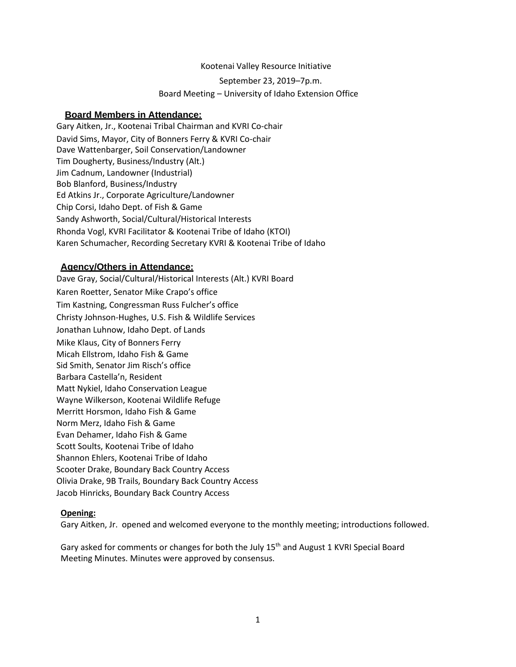#### Kootenai Valley Resource Initiative

September 23, 2019–7p.m. Board Meeting – University of Idaho Extension Office

### **Board Members in Attendance:**

Gary Aitken, Jr., Kootenai Tribal Chairman and KVRI Co-chair David Sims, Mayor, City of Bonners Ferry & KVRI Co-chair Dave Wattenbarger, Soil Conservation/Landowner Tim Dougherty, Business/Industry (Alt.) Jim Cadnum, Landowner (Industrial) Bob Blanford, Business/Industry Ed Atkins Jr., Corporate Agriculture/Landowner Chip Corsi, Idaho Dept. of Fish & Game Sandy Ashworth, Social/Cultural/Historical Interests Rhonda Vogl, KVRI Facilitator & Kootenai Tribe of Idaho (KTOI) Karen Schumacher, Recording Secretary KVRI & Kootenai Tribe of Idaho

### **Agency/Others in Attendance:**

Dave Gray, Social/Cultural/Historical Interests (Alt.) KVRI Board Karen Roetter, Senator Mike Crapo's office Tim Kastning, Congressman Russ Fulcher's office Christy Johnson-Hughes, U.S. Fish & Wildlife Services Jonathan Luhnow, Idaho Dept. of Lands Mike Klaus, City of Bonners Ferry Micah Ellstrom, Idaho Fish & Game Sid Smith, Senator Jim Risch's office Barbara Castella'n, Resident Matt Nykiel, Idaho Conservation League Wayne Wilkerson, Kootenai Wildlife Refuge Merritt Horsmon, Idaho Fish & Game Norm Merz, Idaho Fish & Game Evan Dehamer, Idaho Fish & Game Scott Soults, Kootenai Tribe of Idaho Shannon Ehlers, Kootenai Tribe of Idaho Scooter Drake, Boundary Back Country Access Olivia Drake, 9B Trails, Boundary Back Country Access Jacob Hinricks, Boundary Back Country Access

#### **Opening:**

Gary Aitken, Jr. opened and welcomed everyone to the monthly meeting; introductions followed.

Gary asked for comments or changes for both the July 15<sup>th</sup> and August 1 KVRI Special Board Meeting Minutes. Minutes were approved by consensus.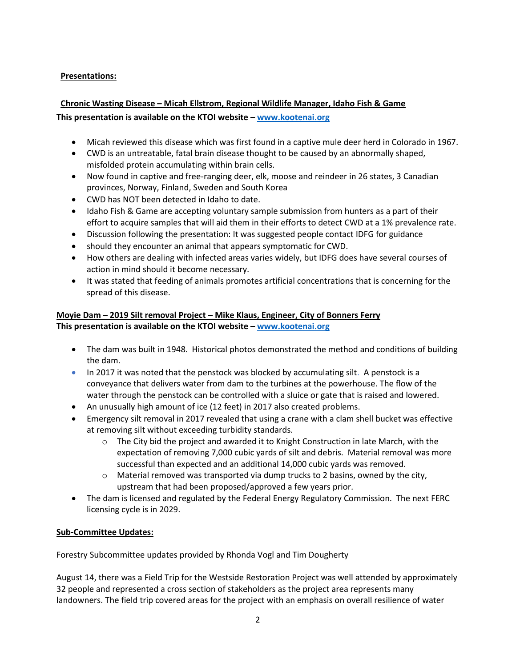## **Presentations:**

### **Chronic Wasting Disease – Micah Ellstrom, Regional Wildlife Manager, Idaho Fish & Game**

### **This presentation is available on the KTOI website – [www.kootenai.org](http://www.kootenai.org/)**

- Micah reviewed this disease which was first found in a captive mule deer herd in Colorado in 1967.
- CWD is an untreatable, fatal brain disease thought to be caused by an abnormally shaped, misfolded protein accumulating within brain cells.
- Now found in captive and free-ranging deer, elk, moose and reindeer in 26 states, 3 Canadian provinces, Norway, Finland, Sweden and South Korea
- CWD has NOT been detected in Idaho to date.
- Idaho Fish & Game are accepting voluntary sample submission from hunters as a part of their effort to acquire samples that will aid them in their efforts to detect CWD at a 1% prevalence rate.
- Discussion following the presentation: It was suggested people contact IDFG for guidance
- should they encounter an animal that appears symptomatic for CWD.
- How others are dealing with infected areas varies widely, but IDFG does have several courses of action in mind should it become necessary.
- It was stated that feeding of animals promotes artificial concentrations that is concerning for the spread of this disease.

## **Moyie Dam – 2019 Silt removal Project – Mike Klaus, Engineer, City of Bonners Ferry This presentation is available on the KTOI website – [www.kootenai.org](http://www.kootenai.org/)**

- The dam was built in 1948. Historical photos demonstrated the method and conditions of building the dam.
- In 2017 it was noted that the penstock was blocked by accumulating silt. A penstock is a conveyance that delivers water from dam to the turbines at the powerhouse. The flow of the water through the penstock can be controlled with a sluice or gate that is raised and lowered.
- An unusually high amount of ice (12 feet) in 2017 also created problems.
- Emergency silt removal in 2017 revealed that using a crane with a clam shell bucket was effective at removing silt without exceeding turbidity standards.
	- o The City bid the project and awarded it to Knight Construction in late March, with the expectation of removing 7,000 cubic yards of silt and debris. Material removal was more successful than expected and an additional 14,000 cubic yards was removed.
	- $\circ$  Material removed was transported via dump trucks to 2 basins, owned by the city, upstream that had been proposed/approved a few years prior.
- The dam is licensed and regulated by the Federal Energy Regulatory Commission. The next FERC licensing cycle is in 2029.

### **Sub-Committee Updates:**

Forestry Subcommittee updates provided by Rhonda Vogl and Tim Dougherty

August 14, there was a Field Trip for the Westside Restoration Project was well attended by approximately 32 people and represented a cross section of stakeholders as the project area represents many landowners. The field trip covered areas for the project with an emphasis on overall resilience of water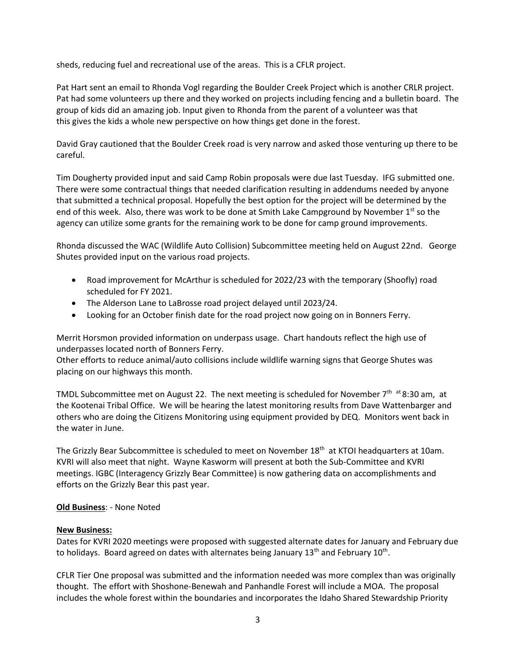sheds, reducing fuel and recreational use of the areas. This is a CFLR project.

Pat Hart sent an email to Rhonda Vogl regarding the Boulder Creek Project which is another CRLR project. Pat had some volunteers up there and they worked on projects including fencing and a bulletin board. The group of kids did an amazing job. Input given to Rhonda from the parent of a volunteer was that this gives the kids a whole new perspective on how things get done in the forest.

David Gray cautioned that the Boulder Creek road is very narrow and asked those venturing up there to be careful.

Tim Dougherty provided input and said Camp Robin proposals were due last Tuesday. IFG submitted one. There were some contractual things that needed clarification resulting in addendums needed by anyone that submitted a technical proposal. Hopefully the best option for the project will be determined by the end of this week. Also, there was work to be done at Smith Lake Campground by November  $1^{st}$  so the agency can utilize some grants for the remaining work to be done for camp ground improvements.

Rhonda discussed the WAC (Wildlife Auto Collision) Subcommittee meeting held on August 22nd. George Shutes provided input on the various road projects.

- Road improvement for McArthur is scheduled for 2022/23 with the temporary (Shoofly) road scheduled for FY 2021.
- The Alderson Lane to LaBrosse road project delayed until 2023/24.
- Looking for an October finish date for the road project now going on in Bonners Ferry.

Merrit Horsmon provided information on underpass usage. Chart handouts reflect the high use of underpasses located north of Bonners Ferry.

Other efforts to reduce animal/auto collisions include wildlife warning signs that George Shutes was placing on our highways this month.

TMDL Subcommittee met on August 22. The next meeting is scheduled for November  $7<sup>th</sup>$  at 8:30 am, at the Kootenai Tribal Office. We will be hearing the latest monitoring results from Dave Wattenbarger and others who are doing the Citizens Monitoring using equipment provided by DEQ. Monitors went back in the water in June.

The Grizzly Bear Subcommittee is scheduled to meet on November 18<sup>th</sup> at KTOI headquarters at 10am. KVRI will also meet that night. Wayne Kasworm will present at both the Sub-Committee and KVRI meetings. IGBC (Interagency Grizzly Bear Committee) is now gathering data on accomplishments and efforts on the Grizzly Bear this past year.

#### **Old Business**: - None Noted

#### **New Business:**

Dates for KVRI 2020 meetings were proposed with suggested alternate dates for January and February due to holidays. Board agreed on dates with alternates being January 13<sup>th</sup> and February 10<sup>th</sup>.

CFLR Tier One proposal was submitted and the information needed was more complex than was originally thought. The effort with Shoshone-Benewah and Panhandle Forest will include a MOA. The proposal includes the whole forest within the boundaries and incorporates the Idaho Shared Stewardship Priority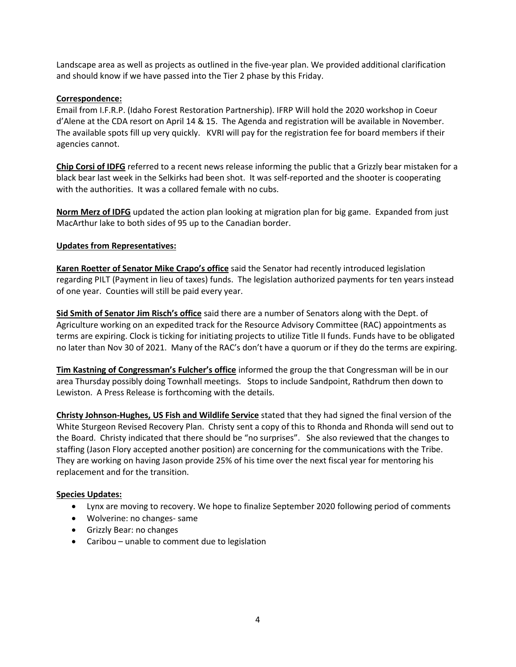Landscape area as well as projects as outlined in the five-year plan. We provided additional clarification and should know if we have passed into the Tier 2 phase by this Friday.

### **Correspondence:**

Email from I.F.R.P. (Idaho Forest Restoration Partnership). IFRP Will hold the 2020 workshop in Coeur d'Alene at the CDA resort on April 14 & 15. The Agenda and registration will be available in November. The available spots fill up very quickly. KVRI will pay for the registration fee for board members if their agencies cannot.

**Chip Corsi of IDFG** referred to a recent news release informing the public that a Grizzly bear mistaken for a black bear last week in the Selkirks had been shot. It was self-reported and the shooter is cooperating with the authorities. It was a collared female with no cubs.

**Norm Merz of IDFG** updated the action plan looking at migration plan for big game. Expanded from just MacArthur lake to both sides of 95 up to the Canadian border.

### **Updates from Representatives:**

**Karen Roetter of Senator Mike Crapo's office** said the Senator had recently introduced legislation regarding PILT (Payment in lieu of taxes) funds. The legislation authorized payments for ten years instead of one year. Counties will still be paid every year.

**Sid Smith of Senator Jim Risch's office** said there are a number of Senators along with the Dept. of Agriculture working on an expedited track for the Resource Advisory Committee (RAC) appointments as terms are expiring. Clock is ticking for initiating projects to utilize Title II funds. Funds have to be obligated no later than Nov 30 of 2021. Many of the RAC's don't have a quorum or if they do the terms are expiring.

**Tim Kastning of Congressman's Fulcher's office** informed the group the that Congressman will be in our area Thursday possibly doing Townhall meetings. Stops to include Sandpoint, Rathdrum then down to Lewiston. A Press Release is forthcoming with the details.

**Christy Johnson-Hughes, US Fish and Wildlife Service** stated that they had signed the final version of the White Sturgeon Revised Recovery Plan. Christy sent a copy of this to Rhonda and Rhonda will send out to the Board. Christy indicated that there should be "no surprises". She also reviewed that the changes to staffing (Jason Flory accepted another position) are concerning for the communications with the Tribe. They are working on having Jason provide 25% of his time over the next fiscal year for mentoring his replacement and for the transition.

#### **Species Updates:**

- Lynx are moving to recovery. We hope to finalize September 2020 following period of comments
- Wolverine: no changes- same
- Grizzly Bear: no changes
- Caribou unable to comment due to legislation